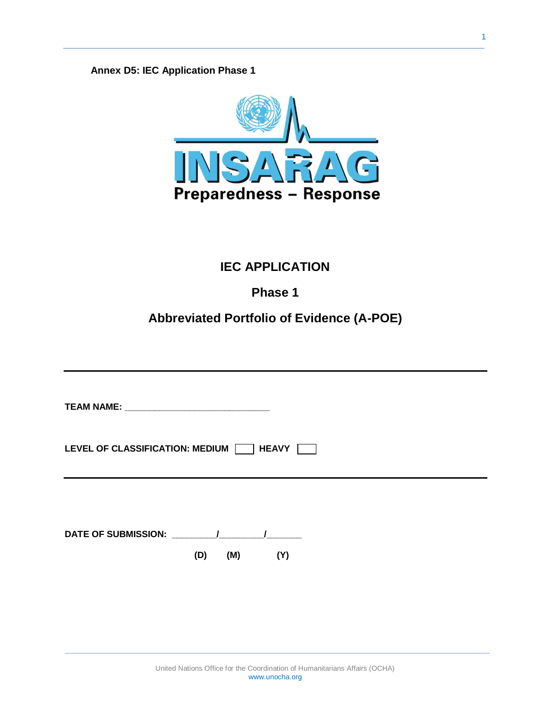**Annex D5: IEC Application Phase 1**



# **IEC APPLICATION**

# **Phase 1**

## **Abbreviated Portfolio of Evidence (A-POE)**

| LEVEL OF CLASSIFICATION: MEDIUM<br><b>HEAVY</b>  |                   |  |  |  |
|--------------------------------------------------|-------------------|--|--|--|
|                                                  |                   |  |  |  |
|                                                  |                   |  |  |  |
| DATE OF SUBMISSION: The Material Service of Sub- | (D)<br>(M)<br>(Y) |  |  |  |
|                                                  |                   |  |  |  |
|                                                  |                   |  |  |  |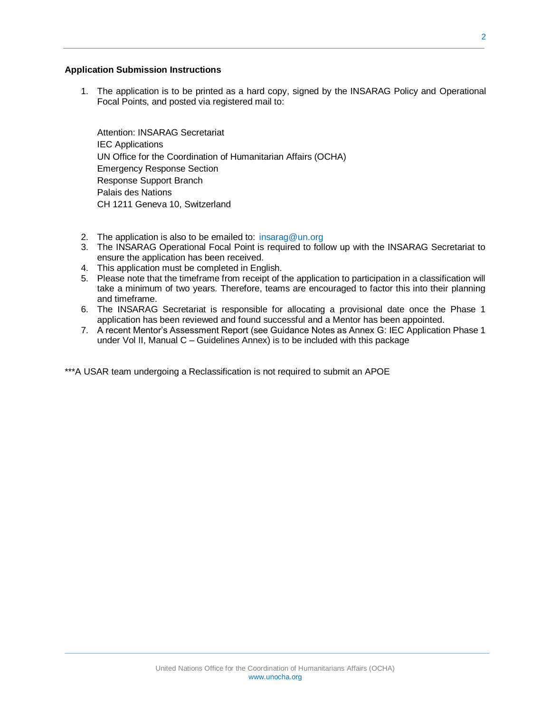#### **Application Submission Instructions**

1. The application is to be printed as a hard copy, signed by the INSARAG Policy and Operational Focal Points, and posted via registered mail to:

Attention: INSARAG Secretariat IEC Applications UN Office for the Coordination of Humanitarian Affairs (OCHA) Emergency Response Section Response Support Branch Palais des Nations CH 1211 Geneva 10, Switzerland

- 2. The application is also to be emailed to: [insarag@un.org](mailto:insarag@un.org)
- 3. The INSARAG Operational Focal Point is required to follow up with the INSARAG Secretariat to ensure the application has been received.
- 4. This application must be completed in English.
- 5. Please note that the timeframe from receipt of the application to participation in a classification will take a minimum of two years. Therefore, teams are encouraged to factor this into their planning and timeframe.
- 6. The INSARAG Secretariat is responsible for allocating a provisional date once the Phase 1 application has been reviewed and found successful and a Mentor has been appointed.
- 7. A recent Mentor's Assessment Report (see Guidance Notes as Annex G: IEC Application Phase 1 under Vol II, Manual C – Guidelines Annex) is to be included with this package

\*\*\*A USAR team undergoing a Reclassification is not required to submit an APOE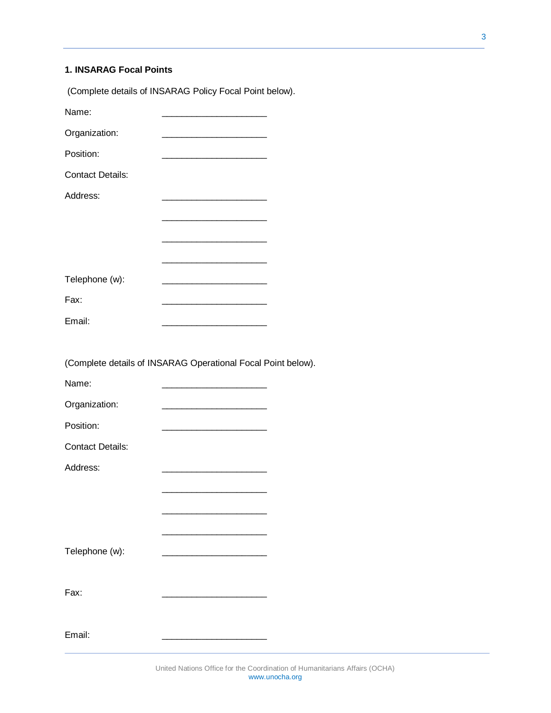### **1. INSARAG Focal Points**

|                         | (Complete details of INSARAG Policy Focal Point below).                                                                |  |
|-------------------------|------------------------------------------------------------------------------------------------------------------------|--|
| Name:                   |                                                                                                                        |  |
| Organization:           |                                                                                                                        |  |
| Position:               | <u> 1989 - Johann Barn, mars ar breithinn ar breithinn ar breithinn an t-</u>                                          |  |
| <b>Contact Details:</b> |                                                                                                                        |  |
| Address:                |                                                                                                                        |  |
|                         | <u> La componenta de la componenta de la componenta de la componenta de la componenta de la componenta de la compo</u> |  |
|                         |                                                                                                                        |  |
|                         |                                                                                                                        |  |
| Telephone (w):          |                                                                                                                        |  |
| Fax:                    |                                                                                                                        |  |
| Email:                  |                                                                                                                        |  |
|                         |                                                                                                                        |  |
|                         | (Complete details of INSARAG Operational Focal Point below).                                                           |  |
|                         |                                                                                                                        |  |
| Name:                   | <u> La componenta de la componenta de la componenta de la componenta de la componenta de la componenta de la compo</u> |  |
| Organization:           |                                                                                                                        |  |
| Position:               | <u> 1989 - Jan James James Barbara, menyebara</u>                                                                      |  |
| <b>Contact Details:</b> |                                                                                                                        |  |
| Address:                |                                                                                                                        |  |
|                         |                                                                                                                        |  |
|                         |                                                                                                                        |  |
|                         |                                                                                                                        |  |
| Telephone (w):          |                                                                                                                        |  |
|                         |                                                                                                                        |  |
| Fax:                    |                                                                                                                        |  |
|                         |                                                                                                                        |  |
| Email:                  |                                                                                                                        |  |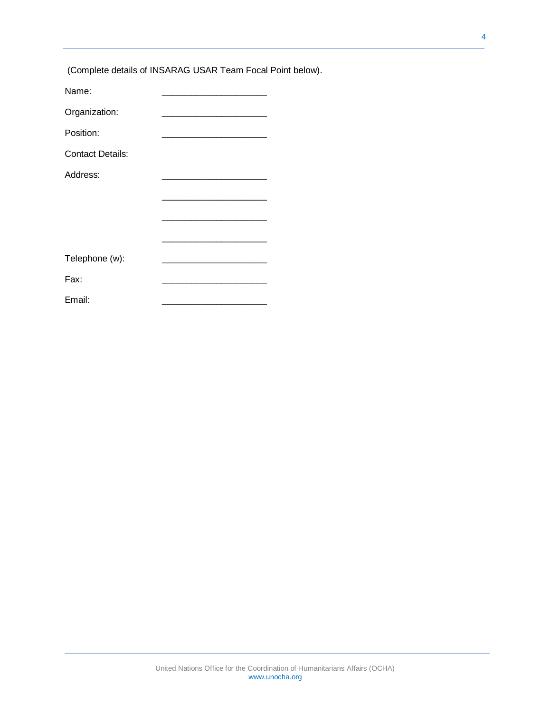|                         | (Complete details of INSARAG USAR Team Focal Point below).                |  |
|-------------------------|---------------------------------------------------------------------------|--|
| Name:                   | <u> 1989 - Johann Barn, mars ar breithinn ar chwaraeth a bhaile an t-</u> |  |
| Organization:           |                                                                           |  |
| Position:               |                                                                           |  |
| <b>Contact Details:</b> |                                                                           |  |
| Address:                |                                                                           |  |
|                         |                                                                           |  |
|                         |                                                                           |  |
|                         |                                                                           |  |
| Telephone (w):          | <u> 1980 - Johann John Stone, mars eta biztanleria (</u>                  |  |
| Fax:                    |                                                                           |  |
| Email:                  |                                                                           |  |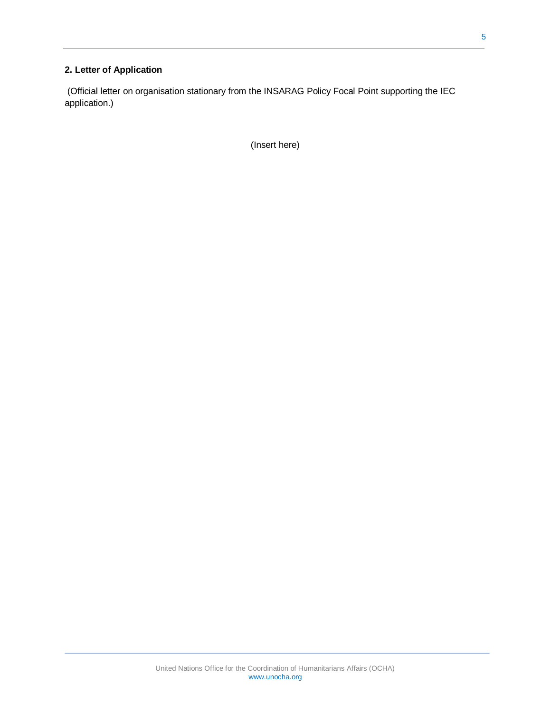### **2. Letter of Application**

(Official letter on organisation stationary from the INSARAG Policy Focal Point supporting the IEC application.)

(Insert here)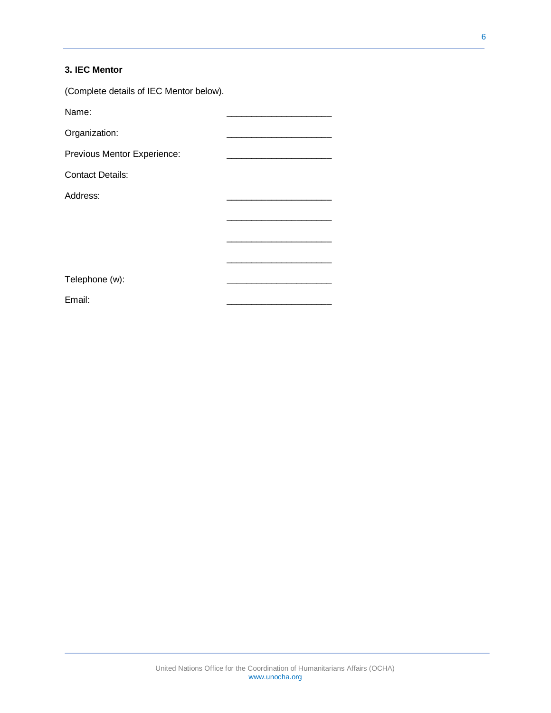### **3. IEC Mentor**

(Complete details of IEC Mentor below).

| Name:                       |  |  |
|-----------------------------|--|--|
| Organization:               |  |  |
| Previous Mentor Experience: |  |  |
| <b>Contact Details:</b>     |  |  |
| Address:                    |  |  |
|                             |  |  |
|                             |  |  |
|                             |  |  |
|                             |  |  |
| Telephone (w):              |  |  |
| Email:                      |  |  |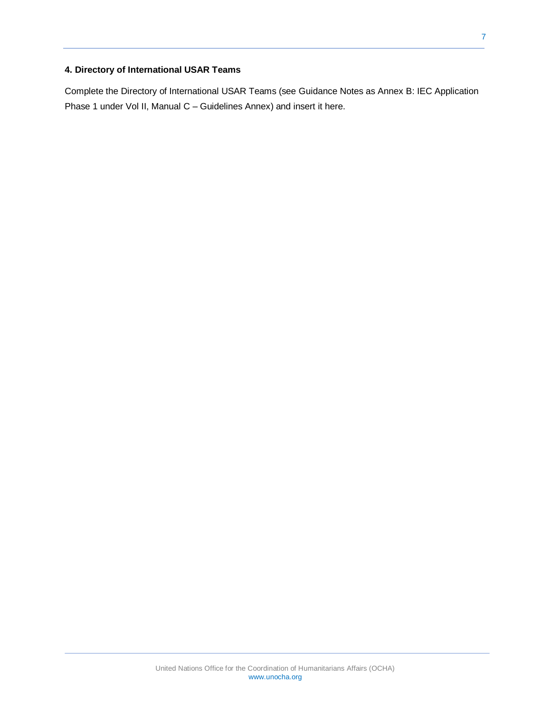### **4. Directory of International USAR Teams**

Complete the Directory of International USAR Teams (see Guidance Notes as Annex B: IEC Application Phase 1 under Vol II, Manual C – Guidelines Annex) and insert it here.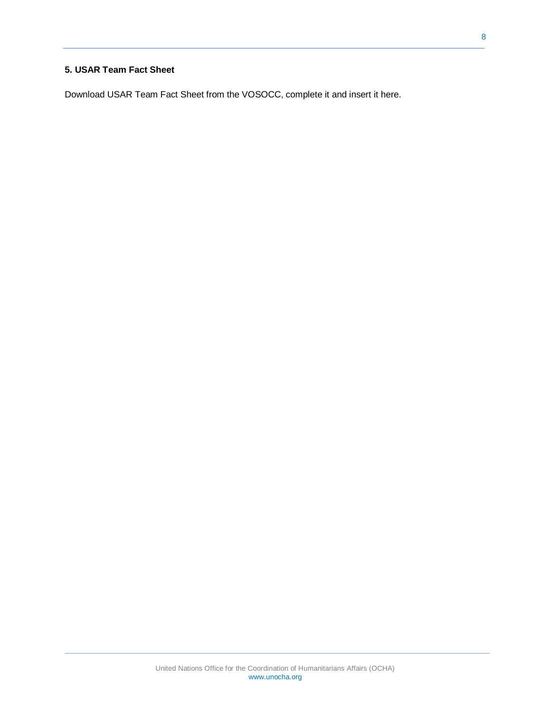#### **5. USAR Team Fact Sheet**

Download USAR Team Fact Sheet from the VOSOCC, complete it and insert it here.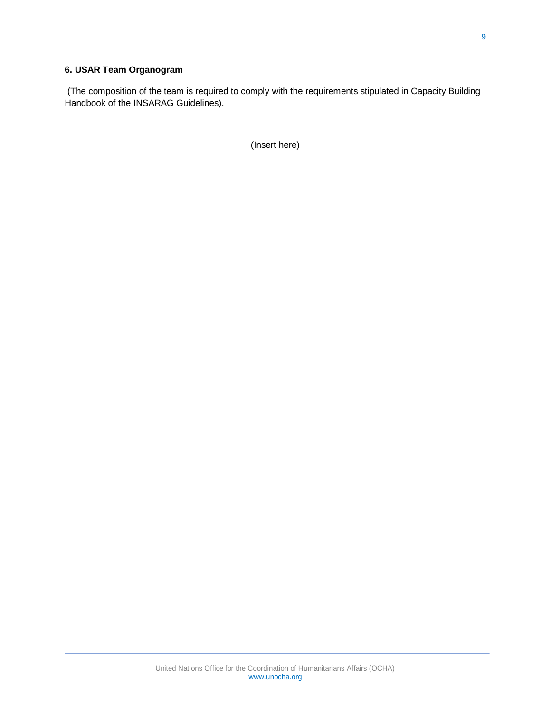#### **6. USAR Team Organogram**

(The composition of the team is required to comply with the requirements stipulated in Capacity Building Handbook of the INSARAG Guidelines).

(Insert here)